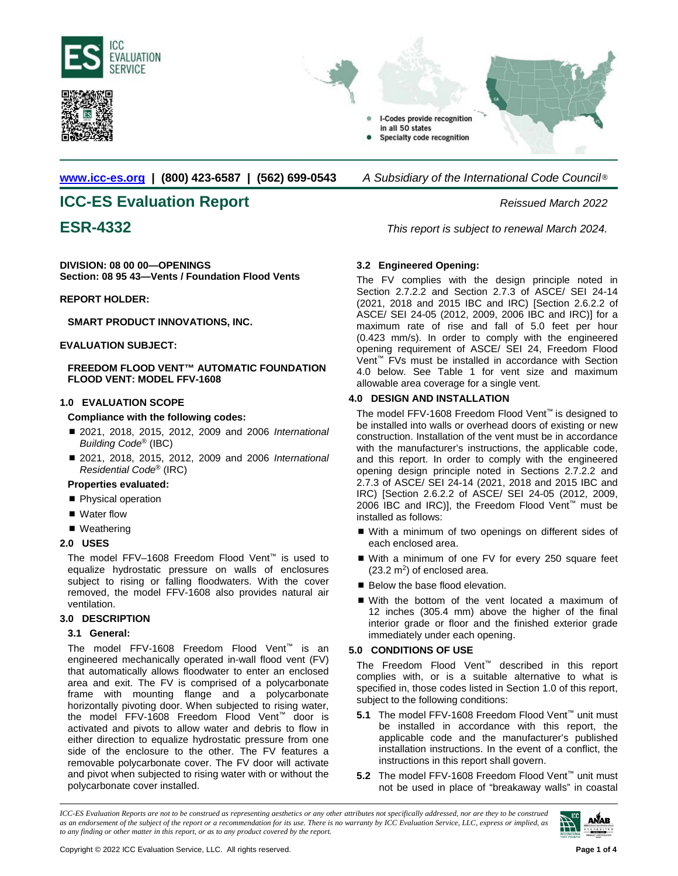





**[www.icc-es.org](http://www.icc-es.org/) | (800) 423-6587 | (562) 699-0543** *A Subsidiary of the International Code Council* ®

# **ICC-ES Evaluation Report** *Reissued March 2022*

**DIVISION: 08 00 00—OPENINGS Section: 08 95 43—Vents / Foundation Flood Vents**

# **REPORT HOLDER:**

**SMART PRODUCT INNOVATIONS, INC.**

**EVALUATION SUBJECT:** 

**FREEDOM FLOOD VENT™ AUTOMATIC FOUNDATION FLOOD VENT: MODEL FFV-1608**

# **1.0 EVALUATION SCOPE**

**Compliance with the following codes:**

- 2021, 2018, 2015, 2012, 2009 and 2006 *International Building Code*® (IBC)
- 2021, 2018, 2015, 2012, 2009 and 2006 *International Residential Code*® (IRC)

# **Properties evaluated:**

- Physical operation
- Water flow
- Weathering

# **2.0 USES**

The model FFV–1608 Freedom Flood Vent™ is used to equalize hydrostatic pressure on walls of enclosures subject to rising or falling floodwaters. With the cover removed, the model FFV-1608 also provides natural air ventilation.

# **3.0 DESCRIPTION**

# **3.1 General:**

The model FFV-1608 Freedom Flood Vent™ is an engineered mechanically operated in-wall flood vent (FV) that automatically allows floodwater to enter an enclosed area and exit. The FV is comprised of a polycarbonate frame with mounting flange and a polycarbonate horizontally pivoting door. When subjected to rising water, the model FFV-1608 Freedom Flood Vent™ door is activated and pivots to allow water and debris to flow in either direction to equalize hydrostatic pressure from one side of the enclosure to the other. The FV features a removable polycarbonate cover. The FV door will activate and pivot when subjected to rising water with or without the polycarbonate cover installed.

**ESR-4332** *This report is subject to renewal March 2024.*

# **3.2 Engineered Opening:**

The FV complies with the design principle noted in Section 2.7.2.2 and Section 2.7.3 of ASCE/ SEI 24-14 (2021, 2018 and 2015 IBC and IRC) [Section 2.6.2.2 of ASCE/ SEI 24-05 (2012, 2009, 2006 IBC and IRC)] for a maximum rate of rise and fall of 5.0 feet per hour (0.423 mm/s). In order to comply with the engineered opening requirement of ASCE/ SEI 24, Freedom Flood Vent™ FVs must be installed in accordance with Section 4.0 below. See Table 1 for vent size and maximum allowable area coverage for a single vent.

# **4.0 DESIGN AND INSTALLATION**

The model FFV-1608 Freedom Flood Vent™ is designed to be installed into walls or overhead doors of existing or new construction. Installation of the vent must be in accordance with the manufacturer's instructions, the applicable code, and this report. In order to comply with the engineered opening design principle noted in Sections 2.7.2.2 and 2.7.3 of ASCE/ SEI 24-14 (2021, 2018 and 2015 IBC and IRC) [Section 2.6.2.2 of ASCE/ SEI 24-05 (2012, 2009, 2006 IBC and IRC)], the Freedom Flood Vent™ must be installed as follows:

- With a minimum of two openings on different sides of each enclosed area.
- With a minimum of one FV for every 250 square feet  $(23.2 \text{ m}^2)$  of enclosed area.
- Below the base flood elevation.
- With the bottom of the vent located a maximum of 12 inches (305.4 mm) above the higher of the final interior grade or floor and the finished exterior grade immediately under each opening.

# **5.0 CONDITIONS OF USE**

The Freedom Flood Vent™ described in this report complies with, or is a suitable alternative to what is specified in, those codes listed in Section 1.0 of this report, subject to the following conditions:

- **5.1** The model FFV-1608 Freedom Flood Vent™ unit must be installed in accordance with this report, the applicable code and the manufacturer's published installation instructions. In the event of a conflict, the instructions in this report shall govern.
- **5.2** The model FFV-1608 Freedom Flood Vent™ unit must not be used in place of "breakaway walls" in coastal

*ICC-ES Evaluation Reports are not to be construed as representing aesthetics or any other attributes not specifically addressed, nor are they to be construed as an endorsement of the subject of the report or a recommendation for its use. There is no warranty by ICC Evaluation Service, LLC, express or implied, as to any finding or other matter in this report, or as to any product covered by the report.*

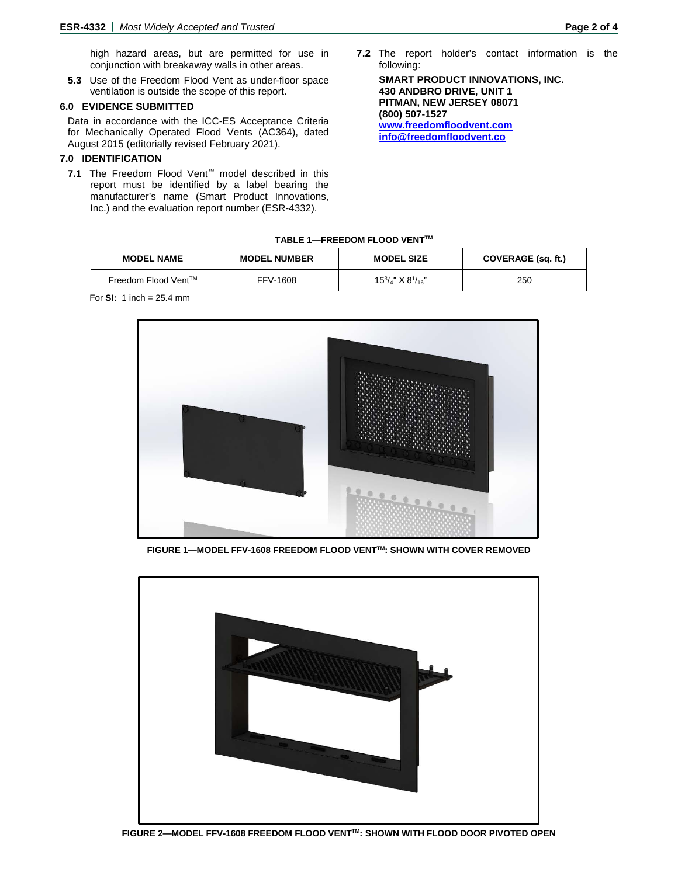high hazard areas, but are permitted for use in conjunction with breakaway walls in other areas.

**5.3** Use of the Freedom Flood Vent as under-floor space ventilation is outside the scope of this report.

#### **6.0 EVIDENCE SUBMITTED**

Data in accordance with the ICC-ES Acceptance Criteria for Mechanically Operated Flood Vents (AC364), dated August 2015 (editorially revised February 2021).

# **7.0 IDENTIFICATION**

**7.1** The Freedom Flood Vent™ model described in this report must be identified by a label bearing the manufacturer's name (Smart Product Innovations, Inc.) and the evaluation report number (ESR-4332).

**7.2** The report holder's contact information is the following:

**SMART PRODUCT INNOVATIONS, INC. 430 ANDBRO DRIVE, UNIT 1 PITMAN, NEW JERSEY 08071 (800) 507-1527 [www.freedomfloodvent.com](http://www.freedomfloodvent.com/) [info@freedomfloodvent.co](mailto:info@freedomfloodvent.co)** 

#### **TABLE 1—FREEDOM FLOOD VENTTM**

| <b>MODEL NAME</b>   | <b>MODEL NUMBER</b> | <b>MODEL SIZE</b>                 | COVERAGE (sq. ft.) |
|---------------------|---------------------|-----------------------------------|--------------------|
| Freedom Flood Vent™ | FFV-1608            | $15^{3}/_{4}$ " X $8^{1}/_{16}$ " | 250                |

For **SI:** 1 inch = 25.4 mm



**FIGURE 1—MODEL FFV-1608 FREEDOM FLOOD VENTTM: SHOWN WITH COVER REMOVED**



**FIGURE 2—MODEL FFV-1608 FREEDOM FLOOD VENTTM: SHOWN WITH FLOOD DOOR PIVOTED OPEN**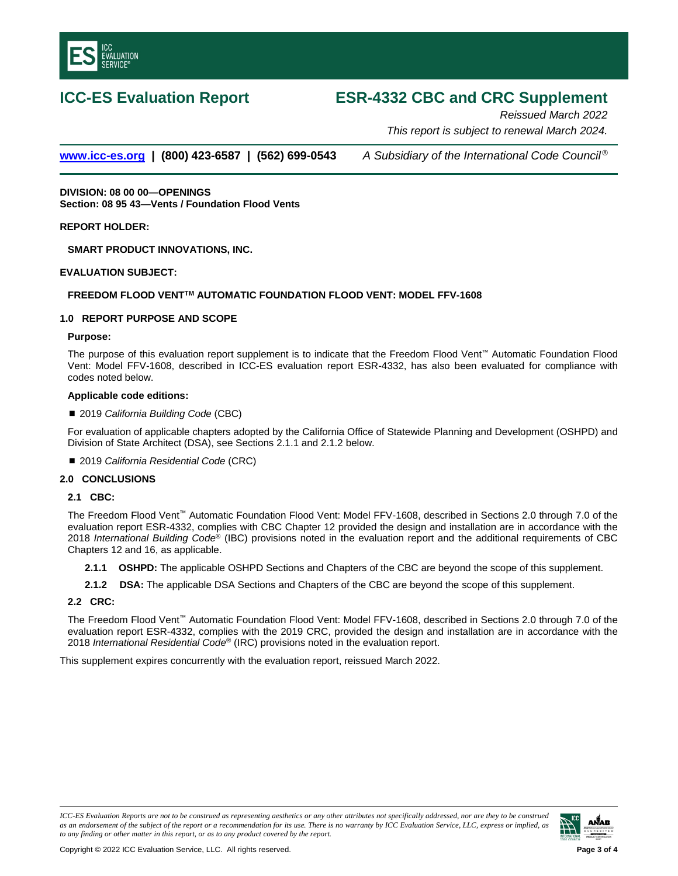

# **ICC-ES Evaluation Report ESR-4332 CBC and CRC Supplement**

*Reissued March 2022 This report is subject to renewal March 2024.* 

**[www.icc-es.org](http://www.icc-es.org/) | (800) 423-6587 | (562) 699-0543** *A Subsidiary of the International Code Council ®*

**DIVISION: 08 00 00—OPENINGS Section: 08 95 43—Vents / Foundation Flood Vents**

**REPORT HOLDER:**

**SMART PRODUCT INNOVATIONS, INC.**

#### **EVALUATION SUBJECT:**

# **FREEDOM FLOOD VENTTM AUTOMATIC FOUNDATION FLOOD VENT: MODEL FFV-1608**

# **1.0 REPORT PURPOSE AND SCOPE**

#### **Purpose:**

The purpose of this evaluation report supplement is to indicate that the Freedom Flood Vent™ Automatic Foundation Flood Vent: Model FFV-1608, described in ICC-ES evaluation report ESR-4332, has also been evaluated for compliance with codes noted below.

#### **Applicable code editions:**

2019 *California Building Code* (CBC)

For evaluation of applicable chapters adopted by the California Office of Statewide Planning and Development (OSHPD) and Division of State Architect (DSA), see Sections 2.1.1 and 2.1.2 below.

■ 2019 *California Residential Code* (CRC)

#### **2.0 CONCLUSIONS**

#### **2.1 CBC:**

The Freedom Flood Vent™ Automatic Foundation Flood Vent: Model FFV-1608, described in Sections 2.0 through 7.0 of the evaluation report ESR-4332, complies with CBC Chapter 12 provided the design and installation are in accordance with the 2018 *International Building Code*® (IBC) provisions noted in the evaluation report and the additional requirements of CBC Chapters 12 and 16, as applicable.

- **2.1.1 OSHPD:** The applicable OSHPD Sections and Chapters of the CBC are beyond the scope of this supplement.
- **2.1.2 DSA:** The applicable DSA Sections and Chapters of the CBC are beyond the scope of this supplement.

# **2.2 CRC:**

The Freedom Flood Vent™ Automatic Foundation Flood Vent: Model FFV-1608, described in Sections 2.0 through 7.0 of the evaluation report ESR-4332, complies with the 2019 CRC, provided the design and installation are in accordance with the 2018 *International Residential Code*® (IRC) provisions noted in the evaluation report.

This supplement expires concurrently with the evaluation report, reissued March 2022.